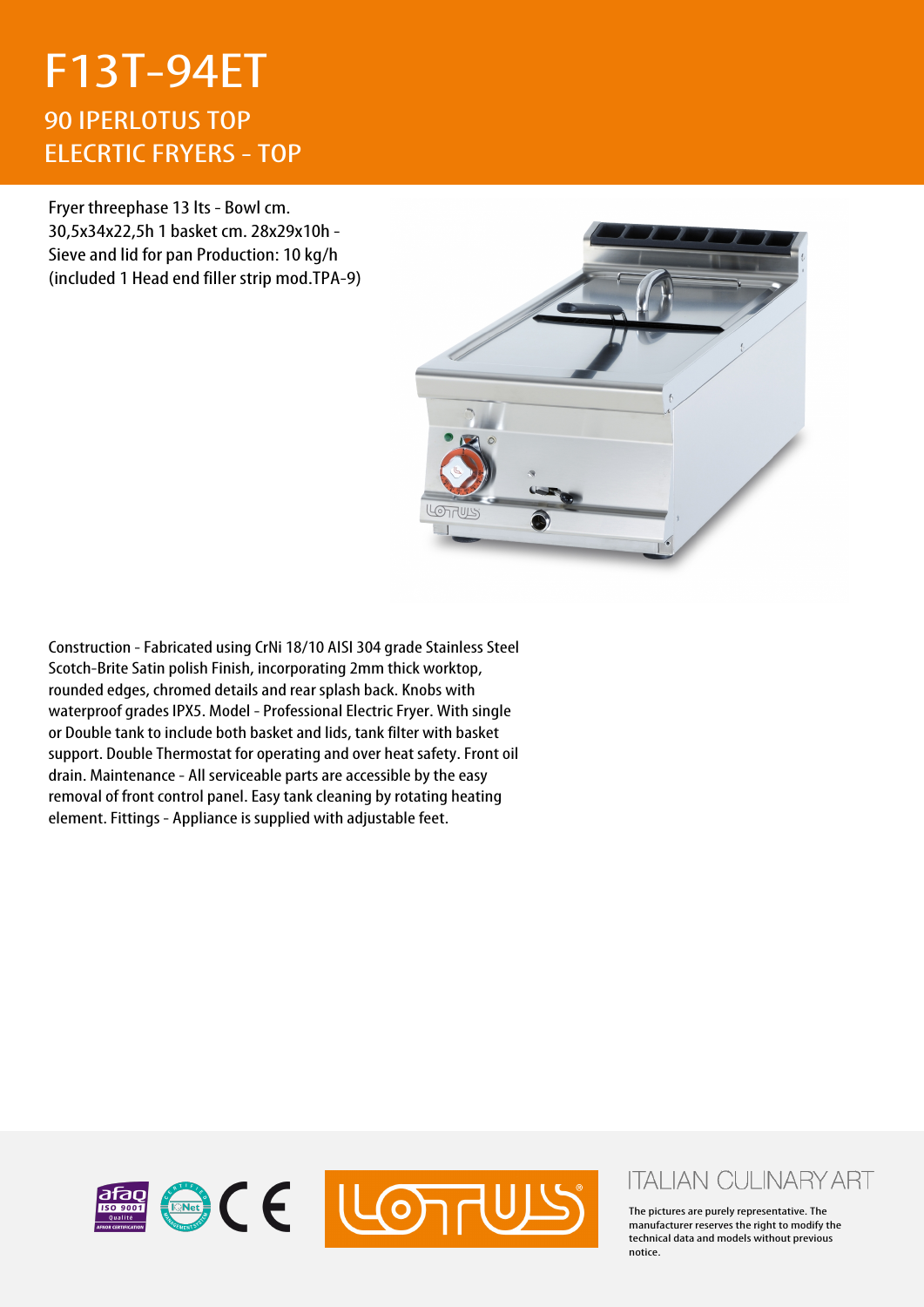## F13T-94ET 90 IPERLOTUS TOP ELECRTIC FRYERS - TOP

Fryer threephase 13 lts - Bowl cm. 30,5x34x22,5h 1 basket cm. 28x29x10h - Sieve and lid for pan Production: 10 kg/h (included 1 Head end filler strip mod.TPA-9)



Construction - Fabricated using CrNi 18/10 AISI 304 grade Stainless Steel Scotch-Brite Satin polish Finish, incorporating 2mm thick worktop, rounded edges, chromed details and rear splash back. Knobs with waterproof grades IPX5. Model - Professional Electric Fryer. With single or Double tank to include both basket and lids, tank filter with basket support. Double Thermostat for operating and over heat safety. Front oil drain. Maintenance - All serviceable parts are accessible by the easy removal of front control panel. Easy tank cleaning by rotating heating element. Fittings - Appliance is supplied with adjustable feet.



## **ITALIAN CULINARY ART**

The pictures are purely representative. The manufacturer reserves the right to modify the technical data and models without previous notice.